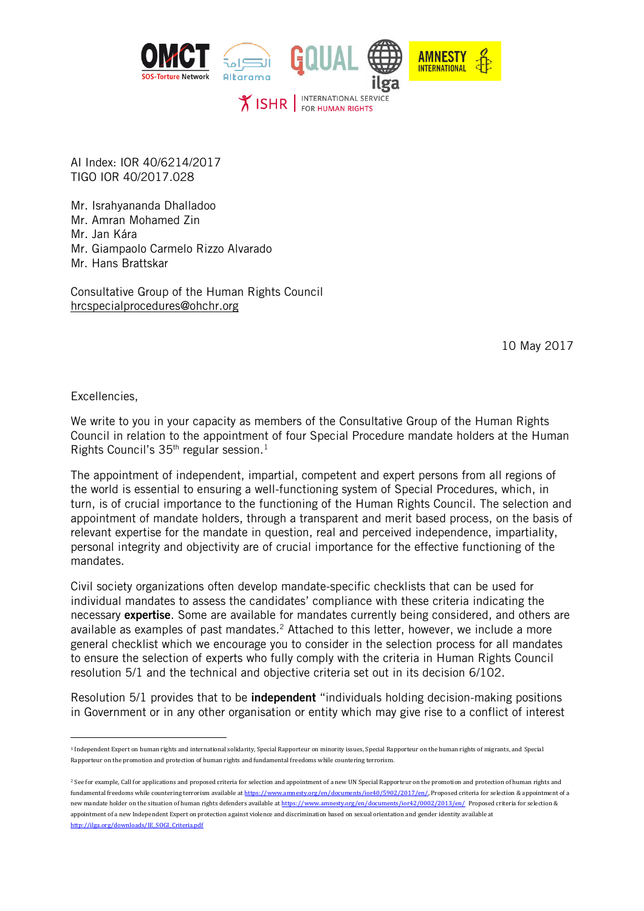

AI Index: IOR 40/6214/2017 TIGO IOR 40/2017.028

Mr. Israhyananda Dhalladoo Mr. Amran Mohamed Zin Mr. Jan Kára Mr. Giampaolo Carmelo Rizzo Alvarado Mr. Hans Brattskar

Consultative Group of the Human Rights Council [hrcspecialprocedures@ohchr.org](mailto:hrcspecialprocedures@ohchr.org)

10 May 2017

Excellencies,

 $\overline{a}$ 

We write to you in your capacity as members of the Consultative Group of the Human Rights Council in relation to the appointment of four Special Procedure mandate holders at the Human Rights Council's  $35<sup>th</sup>$  regular session.<sup>1</sup>

The appointment of independent, impartial, competent and expert persons from all regions of the world is essential to ensuring a well-functioning system of Special Procedures, which, in turn, is of crucial importance to the functioning of the Human Rights Council. The selection and appointment of mandate holders, through a transparent and merit based process, on the basis of relevant expertise for the mandate in question, real and perceived independence, impartiality, personal integrity and objectivity are of crucial importance for the effective functioning of the mandates.

Civil society organizations often develop mandate-specific checklists that can be used for individual mandates to assess the candidates' compliance with these criteria indicating the necessary expertise. Some are available for mandates currently being considered, and others are available as examples of past mandates.<sup>2</sup> Attached to this letter, however, we include a more general checklist which we encourage you to consider in the selection process for all mandates to ensure the selection of experts who fully comply with the criteria in Human Rights Council resolution 5/1 and the technical and objective criteria set out in its decision 6/102.

Resolution 5/1 provides that to be **independent** "individuals holding decision-making positions in Government or in any other organisation or entity which may give rise to a conflict of interest

<sup>1</sup> Independent Expert on human rights and international solidarity, Special Rapporteur on minority issues, Special Rapporteur on the human rights of migrants, and Special Rapporteur on the promotion and protection of human rights and fundamental freedoms while countering terrorism.

<sup>&</sup>lt;sup>2</sup> See for example, Call for applications and proposed criteria for selection and appointment of a new UN Special Rapporteur on the promotion and protection of human rights and fundamental freedoms while countering terrorism available a[t https://www.amnesty.org/en/documents/ior40/5902/2017/en/,](https://www.amnesty.org/en/documents/ior40/5902/2017/en/) Proposed criteria for selection & appointment of a new mandate holder on the situation of human rights defenders available a[t https://www.amnesty.org/en/documents/ior42/0002/2013/en/](https://www.amnesty.org/en/documents/ior42/0002/2013/en/) Proposed criteria for selection & appointment of a new Independent Expert on protection against violence and discrimination based on sexual orientation and gender identity available at [http://ilga.org/downloads/IE\\_SOGI\\_Criteria.pdf](http://ilga.org/downloads/IE_SOGI_Criteria.pdf)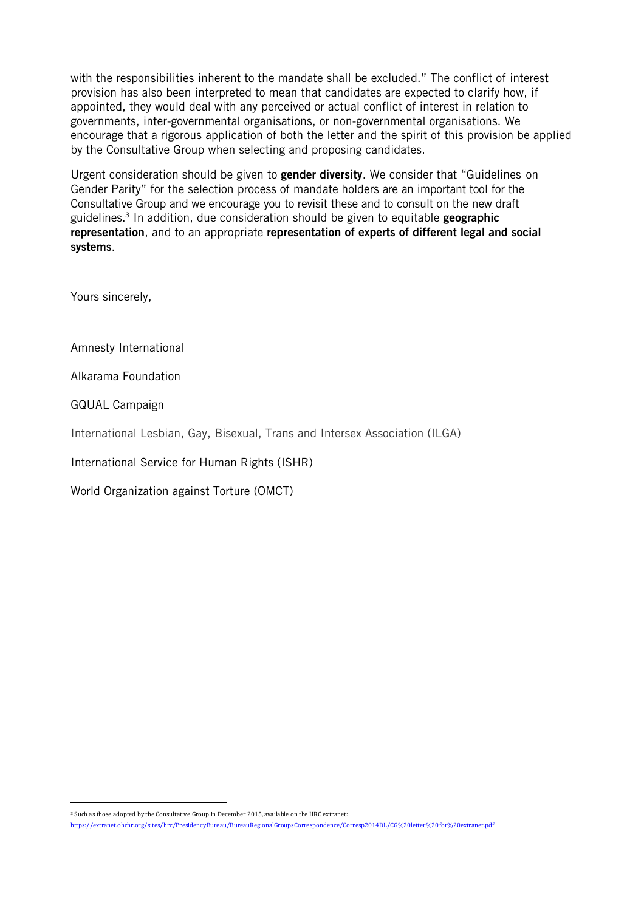with the responsibilities inherent to the mandate shall be excluded." The conflict of interest provision has also been interpreted to mean that candidates are expected to clarify how, if appointed, they would deal with any perceived or actual conflict of interest in relation to governments, inter-governmental organisations, or non-governmental organisations. We encourage that a rigorous application of both the letter and the spirit of this provision be applied by the Consultative Group when selecting and proposing candidates.

Urgent consideration should be given to **gender diversity**. We consider that "Guidelines on Gender Parity" for the selection process of mandate holders are an important tool for the Consultative Group and we encourage you to revisit these and to consult on the new draft guidelines.<sup>3</sup> In addition, due consideration should be given to equitable geographic representation, and to an appropriate representation of experts of different legal and social systems.

Yours sincerely,

Amnesty International

Alkarama Foundation

GQUAL Campaign

 $\overline{a}$ 

International Lesbian, Gay, Bisexual, Trans and Intersex Association (ILGA)

International Service for Human Rights (ISHR)

World Organization against Torture (OMCT)

<sup>3</sup> Such as those adopted by the Consultative Group in December 2015, available on the HRC extranet: <https://extranet.ohchr.org/sites/hrc/PresidencyBureau/BureauRegionalGroupsCorrespondence/Corresp2014DL/CG%20letter%20for%20extranet.pdf>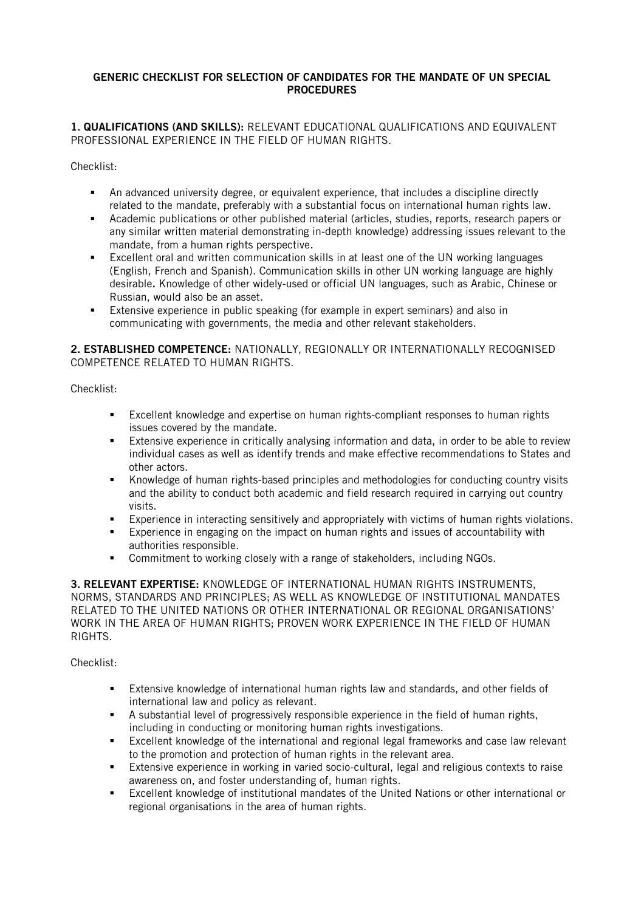## GENERIC CHECKLIST FOR SELECTION OF CANDIDATES FOR THE MANDATE OF UN SPECIAL **PROCEDURES**

1. QUALIFICATIONS (AND SKILLS): RELEVANT EDUCATIONAL QUALIFICATIONS AND EQUIVALENT PROFESSIONAL EXPERIENCE IN THE FIELD OF HUMAN RIGHTS.

Checklist:

- An advanced university degree, or equivalent experience, that includes a discipline directly related to the mandate, preferably with a substantial focus on international human rights law.
- Academic publications or other published material (articles, studies, reports, research papers or any similar written material demonstrating in-depth knowledge) addressing issues relevant to the mandate, from a human rights perspective.
- Excellent oral and written communication skills in at least one of the UN working languages (English, French and Spanish). Communication skills in other UN working language are highly desirable. Knowledge of other widely-used or official UN languages, such as Arabic, Chinese or Russian, would also be an asset.
- Extensive experience in public speaking (for example in expert seminars) and also in communicating with governments, the media and other relevant stakeholders.

2. ESTABLISHED COMPETENCE: NATIONALLY, REGIONALLY OR INTERNATIONALLY RECOGNISED COMPETENCE RELATED TO HUMAN RIGHTS.

Checklist:

- Excellent knowledge and expertise on human rights-compliant responses to human rights issues covered by the mandate.
- Extensive experience in critically analysing information and data, in order to be able to review individual cases as well as identify trends and make effective recommendations to States and other actors.
- Knowledge of human rights-based principles and methodologies for conducting country visits and the ability to conduct both academic and field research required in carrying out country visits.
- Experience in interacting sensitively and appropriately with victims of human rights violations.
- Experience in engaging on the impact on human rights and issues of accountability with authorities responsible.
- Commitment to working closely with a range of stakeholders, including NGOs.

3. RELEVANT EXPERTISE: KNOWLEDGE OF INTERNATIONAL HUMAN RIGHTS INSTRUMENTS, NORMS, STANDARDS AND PRINCIPLES; AS WELL AS KNOWLEDGE OF INSTITUTIONAL MANDATES RELATED TO THE UNITED NATIONS OR OTHER INTERNATIONAL OR REGIONAL ORGANISATIONS' WORK IN THE AREA OF HUMAN RIGHTS; PROVEN WORK EXPERIENCE IN THE FIELD OF HUMAN RIGHTS.

## Checklist:

- Extensive knowledge of international human rights law and standards, and other fields of international law and policy as relevant.
- A substantial level of progressively responsible experience in the field of human rights, including in conducting or monitoring human rights investigations.
- Excellent knowledge of the international and regional legal frameworks and case law relevant to the promotion and protection of human rights in the relevant area.
- Extensive experience in working in varied socio-cultural, legal and religious contexts to raise awareness on, and foster understanding of, human rights.
- Excellent knowledge of institutional mandates of the United Nations or other international or regional organisations in the area of human rights.